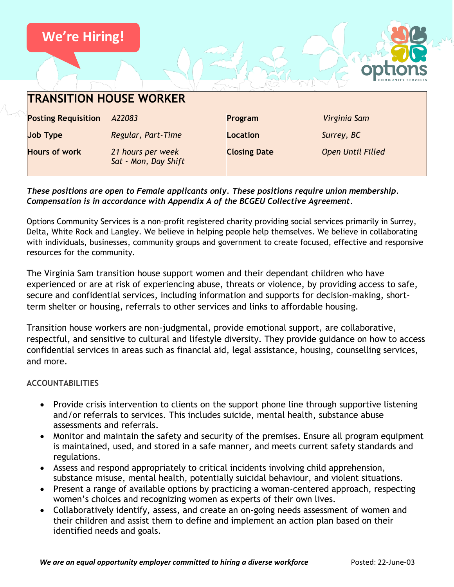

#### *These positions are open to Female applicants only. These positions require union membership. Compensation is in accordance with Appendix A of the BCGEU Collective Agreement.*

Options Community Services is a non-profit registered charity providing social services primarily in Surrey, Delta, White Rock and Langley. We believe in helping people help themselves. We believe in collaborating with individuals, businesses, community groups and government to create focused, effective and responsive resources for the community.

The Virginia Sam transition house support women and their dependant children who have experienced or are at risk of experiencing abuse, threats or violence, by providing access to safe, secure and confidential services, including information and supports for decision-making, shortterm shelter or housing, referrals to other services and links to affordable housing.

Transition house workers are non-judgmental, provide emotional support, are collaborative, respectful, and sensitive to cultural and lifestyle diversity. They provide guidance on how to access confidential services in areas such as financial aid, legal assistance, housing, counselling services, and more.

#### **ACCOUNTABILITIES**

- Provide crisis intervention to clients on the support phone line through supportive listening and/or referrals to services. This includes suicide, mental health, substance abuse assessments and referrals.
- Monitor and maintain the safety and security of the premises. Ensure all program equipment is maintained, used, and stored in a safe manner, and meets current safety standards and regulations.
- Assess and respond appropriately to critical incidents involving child apprehension, substance misuse, mental health, potentially suicidal behaviour, and violent situations.
- Present a range of available options by practicing a woman-centered approach, respecting women's choices and recognizing women as experts of their own lives.
- Collaboratively identify, assess, and create an on-going needs assessment of women and their children and assist them to define and implement an action plan based on their identified needs and goals.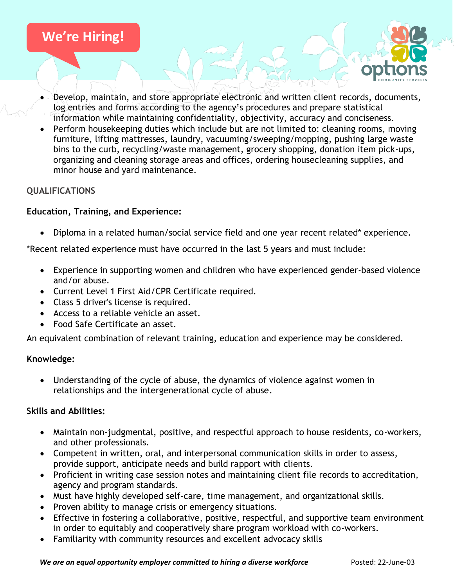

- Develop, maintain, and store appropriate electronic and written client records, documents, log entries and forms according to the agency's procedures and prepare statistical information while maintaining confidentiality, objectivity, accuracy and conciseness.
- Perform housekeeping duties which include but are not limited to: cleaning rooms, moving furniture, lifting mattresses, laundry, vacuuming/sweeping/mopping, pushing large waste bins to the curb, recycling/waste management, grocery shopping, donation item pick-ups, organizing and cleaning storage areas and offices, ordering housecleaning supplies, and minor house and yard maintenance.

## **QUALIFICATIONS**

### **Education, Training, and Experience:**

• Diploma in a related human/social service field and one year recent related\* experience.

\*Recent related experience must have occurred in the last 5 years and must include:

- Experience in supporting women and children who have experienced gender-based violence and/or abuse.
- Current Level 1 First Aid/CPR Certificate required.
- Class 5 driver's license is required.
- Access to a reliable vehicle an asset.
- Food Safe Certificate an asset.

An equivalent combination of relevant training, education and experience may be considered.

#### **Knowledge:**

• Understanding of the cycle of abuse, the dynamics of violence against women in relationships and the intergenerational cycle of abuse.

#### **Skills and Abilities:**

- Maintain non-judgmental, positive, and respectful approach to house residents, co-workers, and other professionals.
- Competent in written, oral, and interpersonal communication skills in order to assess, provide support, anticipate needs and build rapport with clients.
- Proficient in writing case session notes and maintaining client file records to accreditation, agency and program standards.
- Must have highly developed self-care, time management, and organizational skills.
- Proven ability to manage crisis or emergency situations.
- Effective in fostering a collaborative, positive, respectful, and supportive team environment in order to equitably and cooperatively share program workload with co-workers.
- Familiarity with community resources and excellent advocacy skills